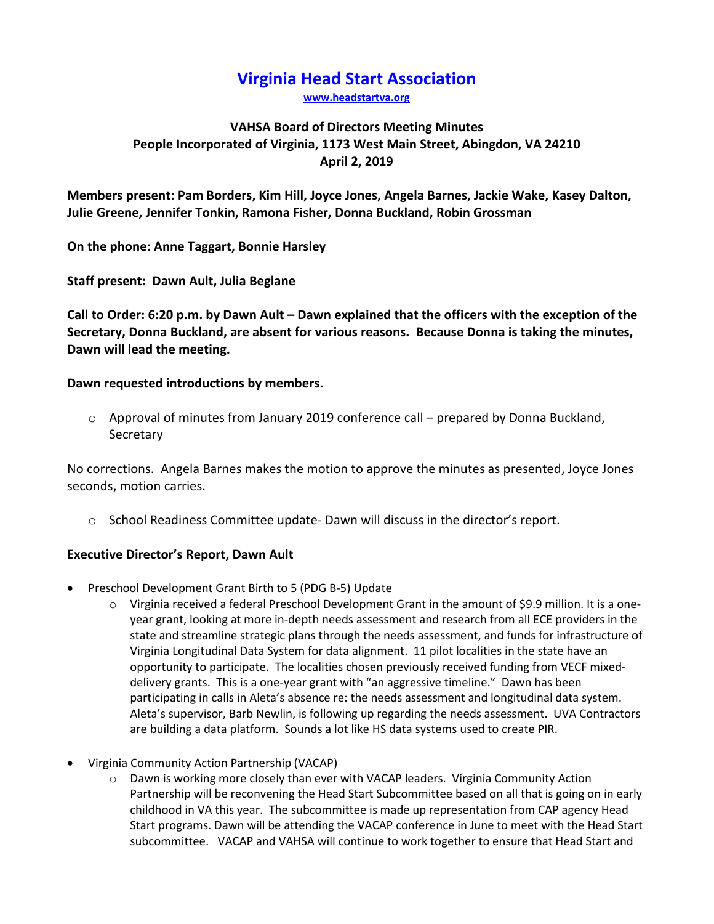# **Virginia Head Start Association**

**[www.headstartva.org](http://www.headstartva.org/)**

## **VAHSA Board of Directors Meeting Minutes People Incorporated of Virginia, 1173 West Main Street, Abingdon, VA 24210 April 2, 2019**

**Members present: Pam Borders, Kim Hill, Joyce Jones, Angela Barnes, Jackie Wake, Kasey Dalton, Julie Greene, Jennifer Tonkin, Ramona Fisher, Donna Buckland, Robin Grossman**

**On the phone: Anne Taggart, Bonnie Harsley**

**Staff present: Dawn Ault, Julia Beglane**

**Call to Order: 6:20 p.m. by Dawn Ault – Dawn explained that the officers with the exception of the Secretary, Donna Buckland, are absent for various reasons. Because Donna is taking the minutes, Dawn will lead the meeting.**

## **Dawn requested introductions by members.**

o Approval of minutes from January 2019 conference call – prepared by Donna Buckland, **Secretary** 

No corrections. Angela Barnes makes the motion to approve the minutes as presented, Joyce Jones seconds, motion carries.

o School Readiness Committee update- Dawn will discuss in the director's report.

## **Executive Director's Report, Dawn Ault**

- Preschool Development Grant Birth to 5 (PDG B-5) Update
	- $\circ$  Virginia received a federal Preschool Development Grant in the amount of \$9.9 million. It is a oneyear grant, looking at more in-depth needs assessment and research from all ECE providers in the state and streamline strategic plans through the needs assessment, and funds for infrastructure of Virginia Longitudinal Data System for data alignment. 11 pilot localities in the state have an opportunity to participate. The localities chosen previously received funding from VECF mixeddelivery grants. This is a one-year grant with "an aggressive timeline." Dawn has been participating in calls in Aleta's absence re: the needs assessment and longitudinal data system. Aleta's supervisor, Barb Newlin, is following up regarding the needs assessment. UVA Contractors are building a data platform. Sounds a lot like HS data systems used to create PIR.
- Virginia Community Action Partnership (VACAP)
	- $\circ$  Dawn is working more closely than ever with VACAP leaders. Virginia Community Action Partnership will be reconvening the Head Start Subcommittee based on all that is going on in early childhood in VA this year. The subcommittee is made up representation from CAP agency Head Start programs. Dawn will be attending the VACAP conference in June to meet with the Head Start subcommittee. VACAP and VAHSA will continue to work together to ensure that Head Start and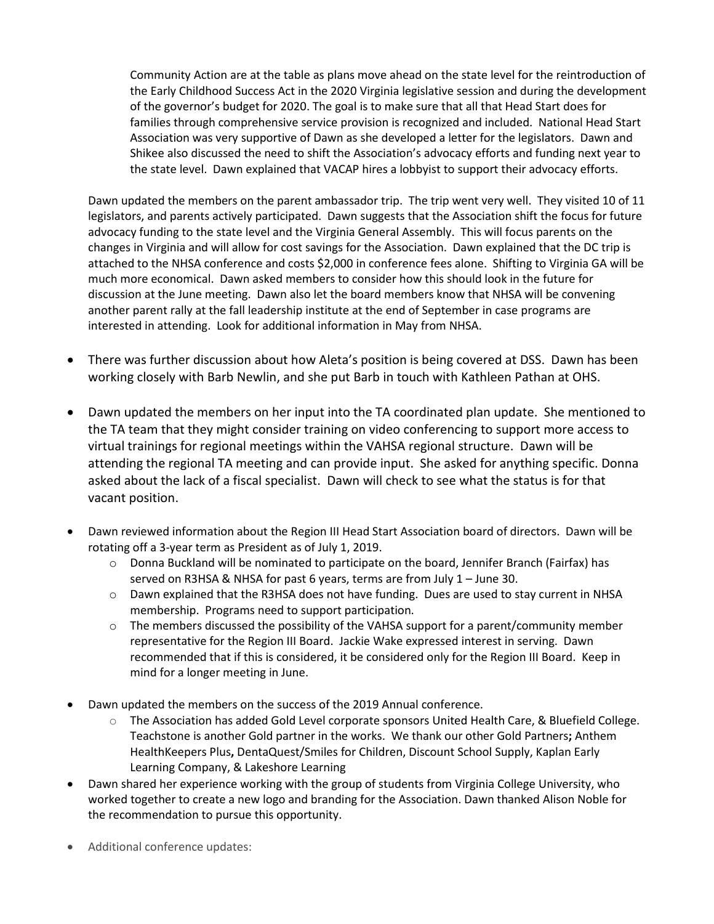Community Action are at the table as plans move ahead on the state level for the reintroduction of the Early Childhood Success Act in the 2020 Virginia legislative session and during the development of the governor's budget for 2020. The goal is to make sure that all that Head Start does for families through comprehensive service provision is recognized and included. National Head Start Association was very supportive of Dawn as she developed a letter for the legislators. Dawn and Shikee also discussed the need to shift the Association's advocacy efforts and funding next year to the state level. Dawn explained that VACAP hires a lobbyist to support their advocacy efforts.

Dawn updated the members on the parent ambassador trip. The trip went very well. They visited 10 of 11 legislators, and parents actively participated. Dawn suggests that the Association shift the focus for future advocacy funding to the state level and the Virginia General Assembly. This will focus parents on the changes in Virginia and will allow for cost savings for the Association. Dawn explained that the DC trip is attached to the NHSA conference and costs \$2,000 in conference fees alone. Shifting to Virginia GA will be much more economical. Dawn asked members to consider how this should look in the future for discussion at the June meeting. Dawn also let the board members know that NHSA will be convening another parent rally at the fall leadership institute at the end of September in case programs are interested in attending. Look for additional information in May from NHSA.

- There was further discussion about how Aleta's position is being covered at DSS. Dawn has been working closely with Barb Newlin, and she put Barb in touch with Kathleen Pathan at OHS.
- Dawn updated the members on her input into the TA coordinated plan update. She mentioned to the TA team that they might consider training on video conferencing to support more access to virtual trainings for regional meetings within the VAHSA regional structure. Dawn will be attending the regional TA meeting and can provide input. She asked for anything specific. Donna asked about the lack of a fiscal specialist. Dawn will check to see what the status is for that vacant position.
- Dawn reviewed information about the Region III Head Start Association board of directors. Dawn will be rotating off a 3-year term as President as of July 1, 2019.
	- $\circ$  Donna Buckland will be nominated to participate on the board, Jennifer Branch (Fairfax) has served on R3HSA & NHSA for past 6 years, terms are from July 1 – June 30.
	- o Dawn explained that the R3HSA does not have funding. Dues are used to stay current in NHSA membership. Programs need to support participation.
	- $\circ$  The members discussed the possibility of the VAHSA support for a parent/community member representative for the Region III Board. Jackie Wake expressed interest in serving. Dawn recommended that if this is considered, it be considered only for the Region III Board. Keep in mind for a longer meeting in June.
- Dawn updated the members on the success of the 2019 Annual conference.
	- o The Association has added Gold Level corporate sponsors United Health Care, & Bluefield College. Teachstone is another Gold partner in the works. We thank our other Gold Partners**;** Anthem HealthKeepers Plus**,** DentaQuest/Smiles for Children, Discount School Supply, Kaplan Early Learning Company, & Lakeshore Learning
- Dawn shared her experience working with the group of students from Virginia College University, who worked together to create a new logo and branding for the Association. Dawn thanked Alison Noble for the recommendation to pursue this opportunity.
- Additional conference updates: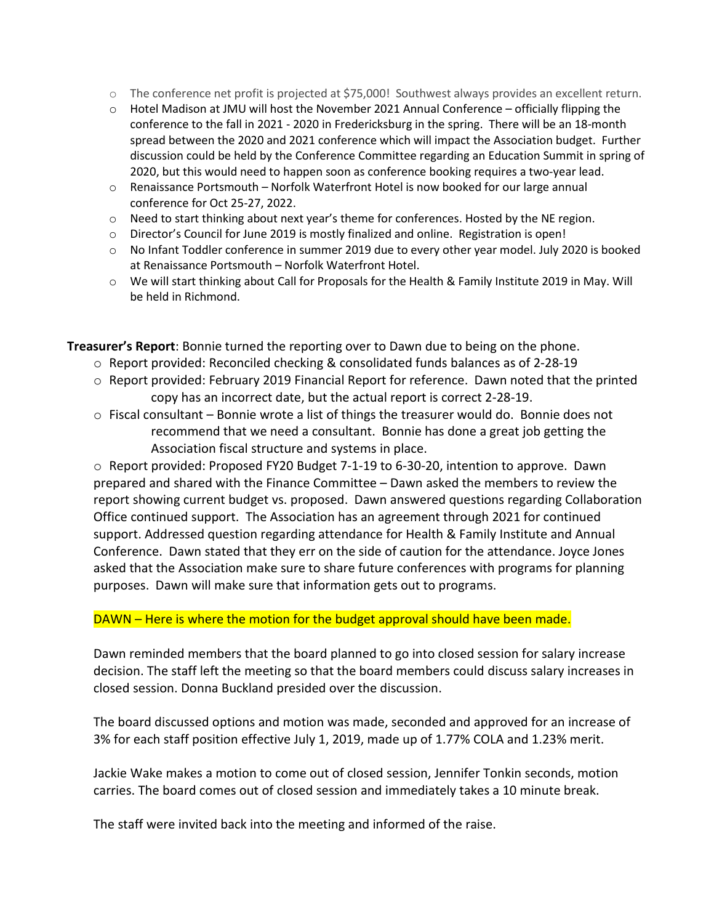- o The conference net profit is projected at \$75,000! Southwest always provides an excellent return.
- o Hotel Madison at JMU will host the November 2021 Annual Conference officially flipping the conference to the fall in 2021 - 2020 in Fredericksburg in the spring. There will be an 18-month spread between the 2020 and 2021 conference which will impact the Association budget. Further discussion could be held by the Conference Committee regarding an Education Summit in spring of 2020, but this would need to happen soon as conference booking requires a two-year lead.
- $\circ$  Renaissance Portsmouth Norfolk Waterfront Hotel is now booked for our large annual conference for Oct 25-27, 2022.
- o Need to start thinking about next year's theme for conferences. Hosted by the NE region.
- o Director's Council for June 2019 is mostly finalized and online. Registration is open!
- o No Infant Toddler conference in summer 2019 due to every other year model. July 2020 is booked at Renaissance Portsmouth – Norfolk Waterfront Hotel.
- o We will start thinking about Call for Proposals for the Health & Family Institute 2019 in May. Will be held in Richmond.

**Treasurer's Report**: Bonnie turned the reporting over to Dawn due to being on the phone.

- o Report provided: Reconciled checking & consolidated funds balances as of 2-28-19
- o Report provided: February 2019 Financial Report for reference. Dawn noted that the printed copy has an incorrect date, but the actual report is correct 2-28-19.
- $\circ$  Fiscal consultant Bonnie wrote a list of things the treasurer would do. Bonnie does not recommend that we need a consultant. Bonnie has done a great job getting the Association fiscal structure and systems in place.

o Report provided: Proposed FY20 Budget 7-1-19 to 6-30-20, intention to approve. Dawn prepared and shared with the Finance Committee – Dawn asked the members to review the report showing current budget vs. proposed. Dawn answered questions regarding Collaboration Office continued support. The Association has an agreement through 2021 for continued support. Addressed question regarding attendance for Health & Family Institute and Annual Conference. Dawn stated that they err on the side of caution for the attendance. Joyce Jones asked that the Association make sure to share future conferences with programs for planning purposes. Dawn will make sure that information gets out to programs.

#### DAWN – Here is where the motion for the budget approval should have been made.

Dawn reminded members that the board planned to go into closed session for salary increase decision. The staff left the meeting so that the board members could discuss salary increases in closed session. Donna Buckland presided over the discussion.

The board discussed options and motion was made, seconded and approved for an increase of 3% for each staff position effective July 1, 2019, made up of 1.77% COLA and 1.23% merit.

Jackie Wake makes a motion to come out of closed session, Jennifer Tonkin seconds, motion carries. The board comes out of closed session and immediately takes a 10 minute break.

The staff were invited back into the meeting and informed of the raise.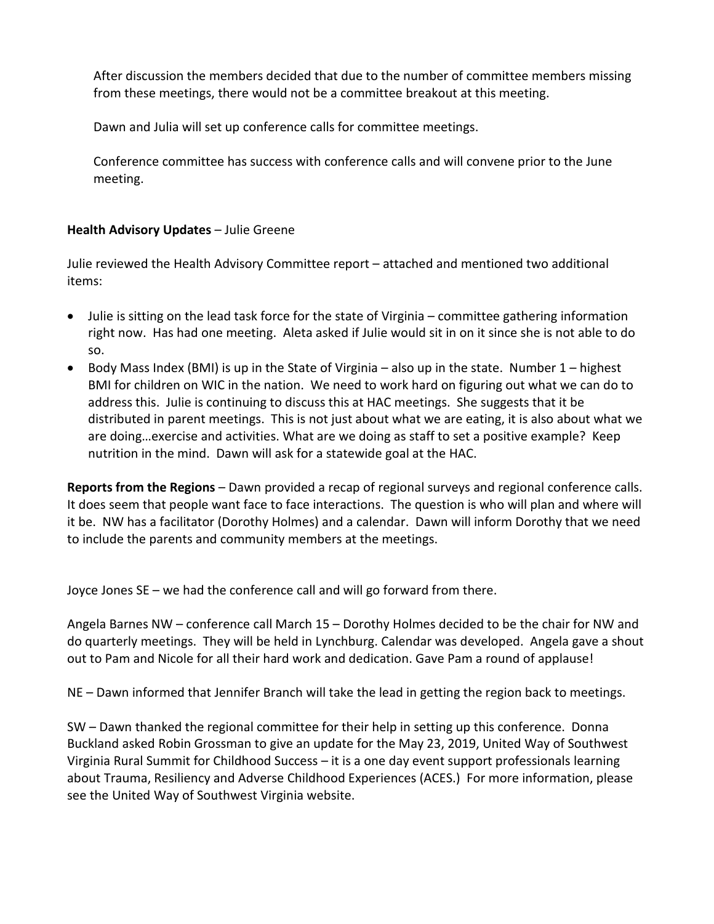After discussion the members decided that due to the number of committee members missing from these meetings, there would not be a committee breakout at this meeting.

Dawn and Julia will set up conference calls for committee meetings.

Conference committee has success with conference calls and will convene prior to the June meeting.

# **Health Advisory Updates** – Julie Greene

Julie reviewed the Health Advisory Committee report – attached and mentioned two additional items:

- Julie is sitting on the lead task force for the state of Virginia committee gathering information right now. Has had one meeting. Aleta asked if Julie would sit in on it since she is not able to do so.
- Body Mass Index (BMI) is up in the State of Virginia also up in the state. Number  $1$  highest BMI for children on WIC in the nation. We need to work hard on figuring out what we can do to address this. Julie is continuing to discuss this at HAC meetings. She suggests that it be distributed in parent meetings. This is not just about what we are eating, it is also about what we are doing…exercise and activities. What are we doing as staff to set a positive example? Keep nutrition in the mind. Dawn will ask for a statewide goal at the HAC.

**Reports from the Regions** – Dawn provided a recap of regional surveys and regional conference calls. It does seem that people want face to face interactions. The question is who will plan and where will it be. NW has a facilitator (Dorothy Holmes) and a calendar. Dawn will inform Dorothy that we need to include the parents and community members at the meetings.

Joyce Jones SE – we had the conference call and will go forward from there.

Angela Barnes NW – conference call March 15 – Dorothy Holmes decided to be the chair for NW and do quarterly meetings. They will be held in Lynchburg. Calendar was developed. Angela gave a shout out to Pam and Nicole for all their hard work and dedication. Gave Pam a round of applause!

NE – Dawn informed that Jennifer Branch will take the lead in getting the region back to meetings.

SW – Dawn thanked the regional committee for their help in setting up this conference. Donna Buckland asked Robin Grossman to give an update for the May 23, 2019, United Way of Southwest Virginia Rural Summit for Childhood Success – it is a one day event support professionals learning about Trauma, Resiliency and Adverse Childhood Experiences (ACES.) For more information, please see the United Way of Southwest Virginia website.